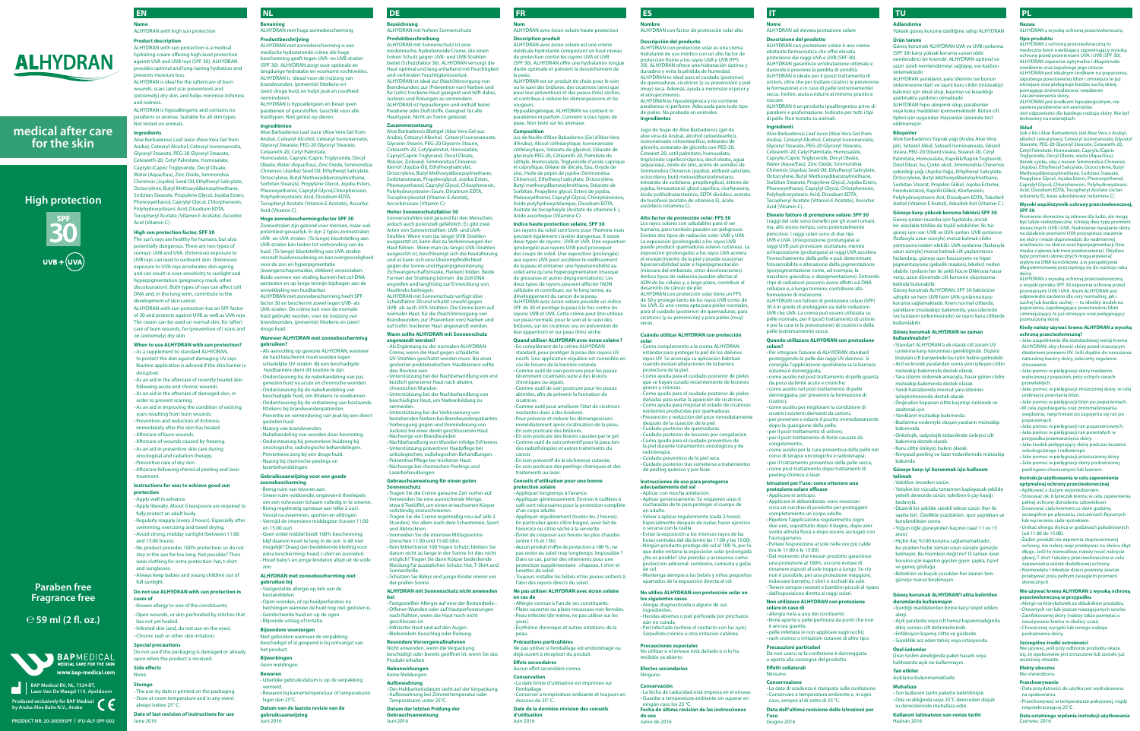**Benaming** ALHYDRAN met hoge zonnebescherming

**Productbeschrijving** ALHYDRAN met zonnebescherming is een medische hydraterende crème die hoge .<br>Ing geeft tegen UVA- en UVB-stralen (SPF 30). ALHYDRAN zorgt voor optimale en langdurige hydratatie en voorkomt vochtverlies. ALHYDRAN is ideaal voor de (na)zorg van brandwonden, (preventie) littekens en (zeer) droge huid, en helpt jeuk en roodheid verminderen. ALHYDRAN is hypoallergeen en bevat geen

parabenen of geurstoffen. Geschikt voor alle huidtypen. Niet getest op dieren. **Ingrediënten**

Aloe Barbadensis Leaf Juice (Aloe Vera Gel from Aruba), Cetearyl Alcohol, Cetearyl Isononanoate, Glyceryl Stearate, PEG-20 Glyceryl Stearate, Ceteareth-20, Cetyl Palmitate, Iomosalate, Caprylic/Capric Triglyceride, Decyl Oleate, Water (Aqua/Eau), Zinc Oxide, Simmondsia Chinensis (Jojoba) Seed Oil, Ethylhexyl Salicylate, .<br>Octocrylene, Butyl Methoxydil Sorbitan Stearate, Propylene Glycol, Jojoba Esters, henoxyethanol, Caprylyl Glycol,Chlorphenesin, Polyhydroxystearic Acid, Disodium EDTA, Tocopheryl Acetate (Vitamin E Acetate), Ascorbic Acid (Vitamin C).

## **Hoge zonnebeschermingsfactor SPF 30**

Zonnestralen zijn gezond voor mensen, maar ook potentieel gevaarlijk. Er zijn 2 types zonnestralen: UVB- en UVA-stralen. (Te lange) blootstelling aan UVB-stralen kan leiden tot verbranding van de huid. (Te lange) blootstelling aan UVA-stralen rsnelt huidveroudering en kan overgevoeligheid voor de zon en hyperpigmentatie (zwangerschapsmasker, vlekken) veroorzaken. Beide vormen van straling kunnen het cel-DNA aantasten en op lange termijn bijdragen aan de ontwikkeling van huidkanker. ALHYDRAN met zonnebescherming heeft SPFfactor 30 en beschermt zowel tegen UVB- als UVA-stralen. De crème kan voor de normale huid gebruikt worden, voor de (na)zorg van brandwonden, (preventie) littekens en (zeer) droge huid.

-Bewaren bij kamertemperatuur of temperature **Datum van de laatste revisie van de** 

### **Wanneer ALHYDRAN met zonnebescherming gebruiken?**

**Composition** Jus de feuille d'Aloe Babadensis (Gel d'Aloe Vera d'Aruba), Alcool céthéarylique, Isono céthéarylique, Stéarate de glycérol, Stéarate de glycéryle PEG-20, Cétéareth-20, Palmilate de céthyle, Homosalate, Triglycéride d'acide caprique .<br>vlique, Oléate de décyle, Eau, Oxyde de zinc, Huile de pépin de jojoba (Sim Chinensis), Ethylhexyl salicylate, Octocrylè Butyl methoxydibenzoylméthane, Stéarate de Sorbitan, Propylène glycol, Esters de jojoba, Phénoxyéthanol, Caprylyl Glycol, Chlorphénésine, Acide polyhydroxystéarique, Disodium EDTA, Acétate de tocophéryle (Acétate de vitamine E ), Acide ascorbique (Vitamine C).

**-**Als aanvulling op gewone ALHYDRAN, wanneer de huid beschermt moet worden tegen schadelijke UV-stralen. Bij een beschadigde huidbarrière dient dit routine te zijn. **-**Ondersteuning bij de nabehandeling van pas genezen huid na acute en chronische wonden. rsteuning bij de nabehandeling van beschadigde huid, om littekens te voorkomen. **-**Ondersteuning bij de verbetering van bestaande littekens bij brandwondenpatiënten. **-**Preventie en vermindering van jeuk bij een direct gesloten huid. zorg van brandwonde **-**Nabehandeling van wonden door bevriezing. **-**Ondersteuning bij preventieve huidzorg bij oncologische, radiologische behandelingen. **-**Preventieve zorg bij een droge huid. **-**Nazorg bij chemische peelings en andelingen **Gebruiksaanwijzing voor een goede** 

### **zonnebescherming -**Breng ruim van tevoren aan.

**-** Smeer ruim voldoende, ongeveer 6 theelepels om een volwassen lichaam volledig in te smere **-**Breng regelmatig opnieuw aan (elke 2 uur). Vooral na zwemmen, sporten en afdrogen **-**Vermijd de intensieve middagzon (tussen 11.00 en 15.00 uur). **-**Geen enkel middel biedt 100% bescherming; blijf daarom nooit te lang in de zon. Is dit niet mogelijk? Draag dan bedekkende kleding voor extra bescherming: hoed, t-shirt en zonnebril. **-**Houd baby's en jonge kinderen altijd uit de volle

zon. **ALHYDRAN met zonnebescherming niet gebruiken bij**

**-**Vastgestelde allergie op één van de bestanddelen. **-**Open wonden, of op huidperforaties na

hechtingen wanneer de huid nog niet gesloten is. **-**Geïnfecteerde huid en op de ogen. **-**Blijvende uitslag of irritatie.

**-**Appliquer longtemps à l'avance. **-**Appliquer généreusement. Environ 6 cuillères à café sont nécessaires pour la protection complète n corps adulte

**Bijzondere voorzorgen** Niet gebruiken wanneer de verpakking beschadigd of al geopend is bij ontvangst van het product.

**Bijwerkingen** Geen meldingen.

**Bewaren**

(entre 11h et 15h). **-**Aucun produit n'offre de protection à 100 % ; ne pas rester au soleil trop longtemps. Impossible

**-**Uiterlijke gebruiksdatum is op de verpakking vermeld.

lager dan 25°C.

**gebruiksaanwijzing** Juni 2016

## **NL**

## **Nom** ALHYDRAN avec écran solaire haute protection

## **Description produit**

ALHYDRAN avec écran solaire est une crème médicale hydratante comportant un de protection contre les rayons UVA et UVB (SPF 30). ALHYDRAN offre une hydratation lo durée optimale et prévient le dessèchement de la peau.

ALHYDRAN est un produit de choix pour le soin ou le suivi des brûlures, des cicatrices (ainsi que pour leur prévention) et des peaux (très) sèches, et contribue à réduire les démangeaisons et les rougeurs.

Hypoallergénique, ALHYDRAN ne contient ni parabènes ni parfum. Convient à tous types de peau. Non testé sur les animaux.

of 30 and protects against UVB as well as UVA rays. The cream can be used on normal skin, for (after) care of burn wounds, for (prevention of) scars and n (extremely) dry skin

**Indice haute protection solaire, SPF 30**

Les rayons du soleil sont bons pour l'homme mais peuvent également s'avérer dangereux. Il existe deux types de rayons : UVB et UVA. Une exposition , .<br>1gée) aux rayons UVB peut prov des coups de soleil. Une exposition (prolongée) aux rayons UVA peut accélérer le vieillisse de la peau et entraîner une hypersensibilité au soleil ainsi qu'une hyperpigmentation (masqu de grossesse et autres dépigmentations). Les deux types de rayons peuvent affecter l'ADN cellulaire et contribuer, sur le long terme, au développement du cancer de la peau. ALHYDRAN avec écran solaire possède un indice SPF de 30 et protège la peau à la fois contre les rayons UVB et UVA. Cette crème peut être utilisée sur peau normale, pour le soin et le suivi des res, sur les cicatrices (ou en pré leur apparition) et sur peau (très) sèche.

## **-**Chronic rash or other skin irritat **Special precautions**

## **Quand utiliser ALHYDRAN avec écran solaire ?**

**-** En complément de la crème ALHYDRAN standard, pour protéger la peau des rayons UV nocifs. Une application régulière est conseillée en cas de lésions de la barrière cutanée. **-**Comme outil de soin postcure pour les peaux

récemment cicatrisées suite à des lésions chroniques ou aiguës. **-**Comme outil de soin postcure pour les peaux

abimées, afin de prévenir la formation de cicatrices.

-Comme outil pour améliorer l'état de cicatrice existantes dues à des brulures. -Pour prévenir et réduire les démang

immédiatement après cicatrisation de la peau. **-** En soin postcure des brûlures. **-** En soin postcure des lésions causées par le gel.

**-**Comme outil de soin préventif pour la peau lors des radiothérapies et autres traitements du cancer.

**-** En soin préventif de la sécheresse cutanée. **-** En soin postcure des peelings chimiques et des traitements au laser.

#### **Conseils d'utilisation pour une bonne protection solaire**

**-**Appliquer régulièrement (toutes les 2 heures). En particulier après s'être baigné, avoir fait de l'exercice ou s'être séché à la serviette. **-** Éviter de s'exposer aux heures les plus chaudes

Dans ce cas, porter des vêtements pour une protection supplémentaire : chapeau, t-shirt et lunettes de soleil.

**-** Toujours installer les bébés et les jeunes enfants à l'abri des rayons directs du soleil.

#### **Ne pas utiliser ALHYDRAN avec écran solaire en cas de**

**-**Allergie connue à l'un de ses constituants. **-**Plaies ouvertes ou plaies recousues non fermées. **-**Peau infectée (de même, ne pas utiliser sur les yeux). **-** Érythème chronique et autres irritations de la

**bei -** Festgestellter Allergie auf eine der Bestandteile.**-** *A* en Wunden oder auf Hautperforierungen nach Nähten, wenn die Haut noch nicht geschlossen ist. .<br>nfizierter Haut und auf den Auger

peau. **Précautions particulières**

Ne pas utiliser si l'emballage est endommagé ou déjà ouvert à réception du produit.

**Effets secondaires** Aucun effet secondaire connu. **Conservation**

**,**<br>itsdatum steht auf der Verpackung **-**Aufbewahrung bei Zimmertemperatur oder Temperaturen unter 25°C.

**-** La date limite d'utilisation est imprimée sur l'emballage.

**-**Conserver à température ambiante et toujours en

dessous de 25° C. **Date de la dernière révision des conseils d'utilisation** Juin 2016

## **FR**

**Product description** ALHYDRAN with sun protection is a medical hydrating cream offering high-level protection

against UVA and UVB rays (SPF 30). ALHYDRAN provides optimal and long-lasting hydration and prevents moisture loss. ALHYDRAN is ideal for the (after)care of burn wounds, scars (and scar prevention) and

(extremely) dry skin, and helps minimise itchiness and redness. ALHYDRAN is hypoallergenic and contains no

parabens or aromas. Suitable for all skin types. Not tested on animals.

## **Ingredients**

Aloe Barbadensis Leaf Juice (Aloe Vera Gel from Aruba), Cetearyl Alcohol, Cetearyl Isononanoate, Glyceryl Stearate, PEG-20 Glyceryl Stearate, reth-20, Cetyl Palmitate, Hor Caprylic/Capric Triglyceride, Decyl Oleate, Water (Aqua/Eau), Zinc Oxide, Simmondsia Chinensis (Jojoba) Seed Oil, Ethylhexyl Salicylate, Octocrylene, Butyl Methoxydibenzoylmethane, Sorbitan Stearate, Propylene Glycol, Jojoba Esters, henoxyethanol, Caprylyl Glycol, Chlorphenesin, Polyhydroxystearic Acid, Disodium EDTA, Tocopheryl Acetate (Vitamin E Acetate), Ascorbic Acid (Vitamin C).

## **High sun protection factor, SPF 30**

The sun's rays are healthy for humans, but also potentially dangerous. There are two types of sunrays: UVB and UVA. (Extensive) exposure to UVB rays can lead to sunburnt skin. (Extensive) exposure to UVA rays accelerates skin ageing and can result in over-sensitivity to sunlight and hyperpigmentation (pregnancy mask, other ouration). Both types of rays can affect cell DNA and, in the long term, contribute to the development of skin cancer. ALHYDRAN with sun protection has an SPF factor

> de peeling químico y por láse **Instrucciones de uso para protegerse adecuadamente del sol -**Aplicar con mucha antelación. **-**Aplicar generosamente. Se requieren unas 6 cucharadas de té para proteger el cuerpo de

## **Name** ALHYDRAN with high sun protection **EN**

### **When to use ALHYDRAN with sun protection?**

**-** La fecha de caducidad está impresa en el envase. **Guardar a temperatura ambiente sin superar en** 

**-**As a supplement to standard ALHYDRAN, to protect the skin against damaging UV rays. Routine application is advised if the skin barrier is disrupted.

idratante farmaceutica che offre ele ptezione dai raggi UVA e UVB (SPF 30). ALHYDRAN garantisce un'idratazione ottimale e durevole e previene la perdita di umidità.

**-**As an aid in the aftercare of recently healed skin following acute and chronic wounds. **-**As an aid in the aftercare of damaged skin, in order to prevent scarring. **-**As an aid in improving the condition of existing scars resulting from burn wounds. **-**Prevention and reduction of itchiness immediately after the skin has healed. **-**Aftercare of burn wounds. **-**Aftercare of wounds caused by freezing. **-**As an aid in preventive skin care during

oncological and radiation therapy. **-**Preventive care of dry skin. **-**Aftercare following chemical peeling and laser treatment.

#### **Instructions for use; to achieve good sun protection**

I raggi del sole sono benefici per gli esseri umani, ma, allo stesso tempo, sono pot pericolosi. I raggi solari sono di due tipi: UVB e UVA. Un'esposizione (prolungata) ai raggi UVB può provocare scottature, mentre posizione (prolungata) ai raggi UVA accelera l'invecchiamento della pelle e può determinare fotosensibilità e alterazione della pigmentazione (iperpigmentazione come, ad esempio, la maschera gravidica, e depigmentazione). Entrambi i tipi di radiazioni possono avere effetti sul DNA cellulare e, a lungo termine, contribuire alla mazione di mela

**-**Apply well in advance. **-**Apply liberally. About 6 teaspoons are required to fully protect an adult body. **-**Regularly reapply (every 2 hours). Especially after swimming, exercising and towel drying. **-**Avoid strong, midday sunlight (between 11:00 and 15:00 hours). **-**No product provides 100% protection; so do not stay in the sun for too long. Not possible? Then wear clothing for extra protection: hat, t-shirt and sunglasses. **-**Always keep babies and young children out of full sunlight. **Do not use ALHYDRAN with sun protection in cases of**

**-**Known allergy to one of the constituents. **-**Open wounds, or skin perforated by stitches that has not yet healed. **-**Infected skin (and, do not use on the eyes).

Do not use if the packaging is damaged or already open when the product is received. **Side effects**

None. **Storage**

**-** The use-by date is printed on the packaging. **-** Store at room temperature and in any ever always below 25° C.

**Date of last revision of instructions for use** June 2016

**Bezeichnung** ALHYDRAN mit hohem Sonnenschutz **Produktbeschreibung**

ALHYDRAN mit Sonnenschutz ist eine menischende Creme, die einen hohen Schutz gegen UVA- und UVB-Strahlen et (Schutzfaktor 30). ALHYDRAN versorgt di Haut optimal und lang anhaltend mit Feuchtigkeit und verhindert Feuchtigkeitsverlust. ALHYDRAN ist ideal zur (Nach)Versorgung von ndwunden, zur (Prävention von) Nar für (sehr) trockene Haut geeignet und hilft dabei, Juckreiz und Rötungen zu verminde ALHYDRAN ist hypoallergen und enthält keine Parabene oder Duftstoffe. Geeignet für alle Hauttypen. Nicht an Tieren getestet.

### **Zusammensetzung**

Aloe Barbadensis Blattgel (Aloe Vera Gel aus Aruba), Cetearyl-Alkohol, Cetearyl Isononanoate, Glycerin-Stearin, PEG-20 Glycerin-Stearin, Ceteareth-20, Cetylpalmitat, Homosalate, Capryl/Caprin Triglycerid, Decyl Oleate, Wasser, Zinkoxid, Simmondsia Chinensis Kernöl (Jojoba-Öl), Ethylhexylsalicylat, Octocrylene, Butyl Methoxydil Sorbitanstearat, Propylenglycol, Jojoba Esters, Phenoxyethanol, Caprylyl Glycol, Chlorphe Polyhydroxystearin-Säure, Dinatrium EDTA, Tocopherylacetat (Vitamin-E-Acetat), Ascorbinsäure (Vitamin C).

## **Hoher Sonnenschutzfaktor 30**

Sonnenstrahlen sind gesund für den Menschen, jedoch auch potenziell gefährlich. Es gibt zwei Arten von Sonnenstrahlen: UVB- und UVA-Strahlen. Wenn man (zu lange) UVB-Strahlen ausgesetzt ist, kann dies zu Verbrennungen der Haut führen. Wenn man (zu lange) UVA-Strahlen ausgesetzt ist, beschleunigt sich die Hautalterung und es kann sich eine Überempfindlichkeit gegen die Sonne und Hyperpigmentierung (Schwangerschaftsmaske, Flecken) bilden. Beide nen der Strahlung können die Zell-DNA angreifen und langfristig zur Entwicklung von Hautkrebs beitragen. ALHYDRAN mit Sonnenschutz verfügt über

> **-** Standart ALHYDRAN'a ek olarak cilt zararlı UV ışınlarına karşı korunması gerektiğinde. Düzeni .<br>bozulan cilt bariyerinde bu rutin haline gelmelidir.

Schutzfaktor 30 und schützt sowohl gegen UVB- als auch UVA-Strahlen. Die Creme kann auf naler Haut, für die (Nach)Versorgung von Brandwunden, zur (Prävention von) Narben und auf (sehr) trockener Haut angewandt werden. **Wann sollte ALHYDRAN mit Sonnenschutz** 

## **angewandt werden?**

**-**Als Ergänzung zu der normalen ALHYDRAN-Creme, wenn die Haut gegen schädliche UV-Strahlen geschützt werden muss. Bei einer estörten problematischen Hautbarriere sollte dies Routine sein. **-**Unterstützung bei der Nachbehandlung von erst kürzlich genesener Haut nach akuten, chronischen Wunden. **-**Unterstützung bei der Nachbehandlung von beschädigter Haut, um Narbenbildung zu vermeiden. **-**Unterstützung bei der Verbesserung von bestehenden Narben bei Brandwundenpatie **-**Vorbeugung gegen und Verminderung von Juckreiz bei einer direkt geschlossenen Haut. **-**Nachsorge von Brandwunden **-**Nachbehandlung von Wunden infolge Erfrierens. **-**Unterstützung präventiver Hautpflege bei onkologischen, radiologischen Behandlungen. **-**Präventive Pflege bei trockener Haut. **-**Nachsorge bei chemischen Peelings und Laserbehandlungen **Gebrauchsanweisung für einen guten** 

ALHYDRAN jest środkiem hipoalergicznym, nie zawiera parabenów ani aromatów. Jest odpowiedni dla każdego rodzaju skóry. Nie był stowany na zwierzętach

## **Sonnenschutz**

**-** Tragen Sie die Creme geraume Zeit vorher auf. **-**Verwenden Sie eine ausreichende Menge, etwa 6 Teelöffel, um einen erwachsenen Körpe vollständig einzuschmieren. **-** Tragen Sie die Creme regelmäßig neu auf (alle 2 Stunden). Vor allem nach dem Schwimmen, Sport und Abtrocknen. **-**Vermeiden Sie die intensive Mittagssonne (zwischen 11.00 und 15.00 Uhr). **-**Kein Mittel bietet 100 %igen Schutz; bleiben Sie darum nicht zu lange in der Sonne. Ist dies nicht möglich? Tragen Sie dann Körper bedeckende Kleidung für zusätzlichen Schutz: Hut, T-Shirt und Sonnenbr **-** Schützen Sie Babys und junge Kinder immer vor

ie słoneczne są zdrowe dla ludzi, ale mogą być także niebezpieczne. Istnieją dwa typy pror s je unike mesekpleckich bankgą and typy promier<br>słonecznych: UVB i UVA. Nadmierne narażanie skóry<br>na działanie promieni UVA przyspiesza starzenie nieni UVA przyspiesza starze się skóry I może doprowadzić do nadmiernej wrażliwości na słońce oraz hiperpigmentacji (tzw. maska ciążowa lub inne przebarwienia). Obydwa typy promieni słonecznych mogą wywierać<br>wpływ na DNA komórkowe, a w perspektywie wpremiennienniennym meg<sub>sp</sub><br>yw na DNA komórkowe, a w p ługoterminowej przyczyniają się do rozwoju raka skóry. ALHYDRAN z wysoką ochroną przeciwsłoneczną

der prallen Sonne. **ALHYDRAN mit Sonnenschutz nicht anwenden** 

**-**Bleibendem Ausschlag oder Reizung. **Besondere Vorsorgemaßnahmen**

Nicht anwenden, wenn die Verpackung beschädigt oder bereits geöffnet ist, wenn Sie das Produkt erhalten.

**Nebenwirkungen** Keine Meldungen. **Aufbewahrung**

- **-**Aplikować z dużym wyprzedzeniem. .<br>Stosować ok. 6 łyżeczek kremu w celu zape pełnej ochrony dorosłemu człowiekow
- **-** Smarować ciało kremem co dwie godziny, szczególnie po pływaniu, ćwiczeniach fizycznych

**Datum der letzten Prüfung der Gebrauchsanweisung**  Juni 2016

(od 11.00 do 15.00). - Żaden produkt nie zapewnia stupro

## **DE**

ony, nie należy więc przebywać na słońcu zbyt długo. Jeśli to niemożliwe, należy nosić nakrycie głowy, T-shirt I okulary przeciwsłoneczne w celu zapewnienia skórze dodatkowej ochrony. **-**Niemowlęta I młodsze dzieci powinny zawsze przebywać poza pełnym zasięgiem promieni

**Nombre** ALHYDRAN con factor de protección solar alto **Descripción del producto** ALHYDRAN con protección solar es una crema hidratante de uso médico con un alto factor de ección frente a los rayos UVA y UVB (FPS 30). ALHYDRAN ofrece una hidratación óptima y duradera y evita la pérdida de humedad. ALHYDRAN es ideal para el cuidado (posterior) de quemaduras, cicatrices (y su prevención) y piel muy) seca. Además, ayuda a minimizar el picor y el enrojecimiento. ALHYDRAN es hipoalergénica y no contiene parabenos ni perfume. Adecuada para todo tipo de pieles. No probada en animales.

**Ingredientes**

Jugo de hojas de Aloe Barbadensis (gel de se vera de Aruba), alcohol cetoe sononanoato cetoestearílico, estearato de glicerilo, estearato de glicerilo con PEG-20, earet-20, cetil palmitato, hor trigilcérido caprílico/cáprico, decil oleato, agua a/eau), óxido de zinc, aceite de semillas de Simmondsia Chinensis (jojoba), etilhexil salicilato, octocrileno, butil metoxidibenzoilmetano, estearato de sorbitano, propilenglicol, ésteres de jojoba, fenoxietanol, glicol caprílico, clorfenesina, ácido polihidroxiesteárico, EDTA disódico, acetato de tocoferol (acetato de vitamina E), ácido

**Alto factor de protección solar: FPS 30** rayos solares son saludables para el mano, pero también pueden ser pe Existen dos tipos de radiación solar: UVB y UVA. La exposición (prolongada) a los rayos UVB puede producir quemaduras solares cutáneas. La exposición (prolongada) a los rayos UVA acelera el envejecimiento de la piel y puede ocasionar sen<br>nsibilidad solar e hip (máscara del embarazo, otras decoloraciones). Ambos tipos de radiación pueden afectar al ADN de las células y, a largo plazo, contribuir al

desarrollo de cáncer de piel.

ense encontrarrence.<br>ptectora de la piel.

ALHYDRAN con protección solar tiene un FPS de 30 y protege tanto de los rayos UVB como de los UVA. Es una crema apta para pieles normales, para el cuidado (posterior) de quemaduras, para cicatrices (y su prevención) y para pieles (muy)

secas.

**Cuándo utilizar ALHYDRAN con protección solar -**Como complemento a la crema ALHYDRAN estándar para proteger la piel de los dañinos rayos UV. Se aconseja su aplicación habitual cuando existan alteraciones de la barrera

**-**Como ayuda para el cuidado posterior de pieles

graves y crónicas.

que se hayan curado recienteme

**-**Como ayuda para el cuidado posterior de pieles dañadas para evitar la aparición de cicatrices. **-**Como ayuda para mejorar el estado de cicatrices s producidas por quemadura: Prevención y reducción del picor inmedia después de la curación de la piel. *i*dado posterior de quemadura **-**Cuidado posterior de lesiones por congelación. Como ayuda para el cuidado preventi la piel durante tratamientos oncológicos y de radioterapia. **-**Cuidado preventivo de la piel seca. **-**Cuidado posterior tras someterse a tratamientos

**-**Volver a aplicar regularmente (cada 2 horas). Especialmente después de nadar, hacer ejercicio

o secarse con la toalla.

**-** Evitar la exposición a los intensos rayos de las horas centrales del día (entre las 11:00 y las 15:00). **-**Ningún producto protege del sol al 100 %, por lo que debe evitarse la exposición solar prolongada. ¿No es posible? Use prendas y accesorios como protección adicional: sombrero, camiseta y gafas

de sol.

**-**Mantenga siempre a los bebés y niños pequeños apartados de la exposición directa al sol. **No utilice ALHYDRAN con protección solar en los siguientes casos -**Alergia diagnosticada a alguno de sus ingredientes. **-**Heridas abiertas o piel perforada por pinchazos

aún no curada.

**-**Piel infectada (evítese el contacto con los ojos). Sarpullido crónico u otra irritación cutánea.

**Precauciones especiales** 

ingún caso los 25 °C.

No utilizar si el envase está dañado o si lo ha

n adulto

recibido ya abierto. **Efectos secundarios** Ninguno. **Conservación**

**Fecha de última revisión de las instrucciones** 

**de uso** Junio de 2016

**ES**

scórbico (vitamina C).

**Nome** ALHYDRAN ad elevata protezione solare **Descrizione del prodotto**

ALHYDRAN con protezione solare è una crema

ALHYDRAN è ideale per il (post) trattamento di ustioni, oltre che per trattare cicatrici (e prevenirne la formazione) e in caso di pelle (estremamente) secca. Inoltre, aiuta a ridurre al minimo prurito e rossore. ALHYDRAN è un prodotto ipoallergenico privo di

parabeni e profumazione. Indicato per tutti i tipi di pelle. Non testato su animali.

## **Ingredienti**

Aloe Barbadensis Leaf Juice (Aloe Vera Gel from Aruba), Cetearyl Alcohol, Cetearyl Isononanoate, Glyceryl Stearate, PEG-20 Glyceryl Stearate, Ceteareth-20, Cetyl Palmitate, Ho Caprylic/Capric Triglyceride, Decyl Oleate, Water (Aqua/Eau), Zinc Oxide, Sim Chinensis (Jojoba) Seed Oil, Ethylhexyl Salicylate, Octocrylene, Butyl Methoxydiber Sorbitan Stearate, Propylene Glycol, Jojoba Este Phenoxyethanol, Caprylyl Glycol, Chlorphenesin, Polyhydroxystearic Acid, Disodium EDTA, Tocopheryl Acetate (Vitamin E Acetate), Ascorbic Acid (Vitamin C).

## **Elevato fattore di protezione solare: SPF 30**

ALHYDRAN con fattore di protezione solare (SPF) 30 è in grado di proteggere sia dalle radiazioni UVB che UVA. La crema può essere utilizzata su pelle normale, per il (post) trattamento di ustion e per la cura (e la prevenzione) di cicatrici e della pelle (estremamente) secca.

#### **Quando utilizzare ALHYDRAN con protezione solare?**

**-**Per integrare l'azione di ALHYDRAN standard proteggendo la pelle dai raggi UV dannosi. Si onsiglia l'applicazione quotidiana se la barriera cutanea è danneggiata;

**-** come ausilio nel post-trattamento di pelle guarita da poco da ferite acute e croniche;

- **-** come ausilio nel post-trattamento di pelle danneggiata, per prevenire la formazione di
- cicatrici; **-** come ausilio per migliorare la condizione di
- cicatrici esistenti derivanti da ustioni;
- per prevenire e ridurre il prurito imn dopo la guarigione della pelle;
- **-**per il post-trattamento di ustioni;
- **-**per il post-trattamento di ferite causate da congelamento;
- **-** come ausilio per la cura preventiva della pelle nel corso di terapie oncologiche e radioterapia; **-**per il trattamento preventivo della pelle secca; **-** come post-trattamento dopo trattamenti di

#### peeling chimico e laser. **Istruzioni per l'uso: come ottenere una protezione solare efficace**

## **-**Applicare in anticipo.

**-**Applicare in abbondanza: sono necessari circa sei cucchiai di prodotto per proteggere completamente un corpo adulto.

- **-**Ripetere l'applicazione regolarmente (ogni due ore), soprattutto dopo il bagno, dopo aver svolto attività fisica e dopo essersi asciugati con l'asciugamano.
- **-** Evitare l'esposizione al sole nelle ore più calde (tra le 11:00 e le 15:00).
- **-**Dal momento che nessun prodotto garantisce una protezione al 100%, occorre evitare di rimanere esposti al sole troppo a lungo. Se ciò non è possibile, per una protezione maggiore, indossare berretto, t-shirt e occhiali da sole. **-** Tenere sempre neonati e bambini piccoli al riparo

### **-**dall'esposizione diretta ai raggi solari. **Non utilizzare ALHYDRAN con protezione solare in caso di**

**-** allergia nota a uno dei costituenti; **-**ferite aperte o pelle perforata da punti che non è ancora guarita;

**-**pelle infettata (e non applicare sugli occhi); **-**rash cronico o irritazioni cutanee di altro tipo.

## **Precauzioni particolari**

Da non usarsi se la confezione è danneggiata o aperta alla consegna del prodotto.

#### **Effetti collaterali** Nessuno.

## **Conservazione**

**-** La data di scadenza è stampata sulla confezione. **-**Conservare a temperatura ambiente e, in ogni caso, sempre al di sotto di 25 °C.

## **Data dell'ultima revisione delle istruzioni per l'uso**

Giugno 2016

**IT**

Yüksek güneş koruma özelliğine sahip ALHYDRAN **Ürün tanımı**

Güneş korumalı ALHYDRAN UVA ve UVB ışınlarına (SPF 30) karşı yüksek koruma sunan tıbbi nemlendirici bir kremdir. ALHYDRAN optimal ve<br>uzun süreli nemlendirmevi sağlavıp, sıvı kavbını mevi sağlayıp, sıvı kaybını önlemektedir.

ALHYDRAN yanıkların, yara izlerinin (ve bunun önlenmesine dair) ve (aşırı) kuru cildin (müteakip) bakım(ı) için ideal olup, kaşıntıyı ve kızarıklığı azaltmakta yardımcı olmaktadır.

ALHYDRAN hipo-alerjenik olup, parabenler veya koku maddeleri içermemektedir. Bütün cilt tipleri için uygundur. Hayvanlar üzerinde test edilmemiştir.

## **Bileşenler**

Aloe barbadensis Yaprak yağı (Aruba Aloe Vera jeli), Setearil Alkol, Setearil Iso steara, PEG-20 Gliseril steara, Stearat-20, Cetyl Palmitate, Homosalate, Kaprilik/Kaprik Trigliserid, Desil Oleat, Su, Çinko oksit, Simmondsia Chinensis çekirdeği yağı (Jojoba Yağı), Ethylhexyl Salicylate, octocrylene, Butyl Methoxydib Sorbitan Stearat, Propilen Glikol, Jojoba Esterler, Fenoksietanol, Kaprilil Glikol, Klorfenezin, Polyhydroxystearic Asit, Disodyum EDTA, Tokoferil Asetat (Vitamin E Asetat), Askorbik Asit (Vitamin C ).

## **Güneşe karşı yüksek koruma faktörü SPF 30**

Güneş ışınları insanlar için faydalıdır, ancak bir olasılıkla tehlike de teşkil edebilirler. İki tür güneş ışını var: UVB ve UVA ışınları. UVB ışınlarına .<br>Ivla uzun süreyle) maruz kalmak cildir yanmasına neden olabilir. UVA ışınlarına (fazlasıyla uzun süreyle) maruz kalmak cilt yaşlanmasını hızlandırıp, güneşe aşırı hassasiyete ve hiper syona (gebelik maskesi, lekeler) neder olabilir. Işınların her iki şekli hücre DNA'sına hasar verip, uzun dönemde cilt kanserin oluşmasına katkıda bulunabilir.

Güneş korumalı ALHYDRAN, SPF 30 faktörüne sahiptir ve hem UVB hem UVA ışınlarına karşı koruma sağlamaktadır. Krem normal ciltlerde, yanıkların (müteakip) bakımında, yara izlerinde ve bunların önlenmesinde) ve (aşırı) kuru ciltlerde kullanılabilir.

## **Adlandırma TU**

### **Güneş korumalı ALHYDRAN ne zaman kullanılmalıdır?**

- **-**Acil ve kronik yaralardan sonra yeni iyileşen cildin müteakip bakımında destek olarak.
- **-**Yara izlerini önlemek amacıyla, hasar gören cildin müteakip bakımında destek olarak.
- **-**Yanık hastalarında mevcut yara izlerinin
- iyileştirilmesinde destek olarak. **-**Doğrudan kapanan ciltte kaşıntıyı önlemek ve azaltmak için.
- **-**Yanıkların müteakip bakımında.
- **-**Buzlanma nedeniyle oluşan yaraların müteakip
- bakımında. **-**Onkolojik, radyolojik tedavilerde önleyici cilt
- bakımına destek olarak. **-**Kuru ciltte önleyici bakım olarak.
- **-**Kimyasal peeling ve lazer tedavilerinde müteakip bakımda

#### **Güneşe karşı iyi korunmak için kullanım talimatı**

**-**Vakitlice önceden sürün.

- **-**Yetişkin bir vücudu tamamen kaplayacak şekilde yeterli derecede sürün, takriben 6 çay kaşığı
- kadarıyla.
- **-**Düzenli bir şekilde sürekli tekrar sürün (her iki saatte bir). Özellikle yüzdükten, spor yaptıktan ve kurulandıktan sonra.
- **-**Yoğun öğle güneşinden kaçının (saat 11 ve 15 arası).
- **-**Hiçbir ilaç %100 koruma sağlamamaktadır; bu yüzden hiçbir zaman uzun süreyle güneşte kalmayın. Bu mümkün değil mi? O zaman ilave
- koruma için kapatıcı giysiler giyin: şapka, tişört ve güneş gözlüğü. **-**Bebekleri ve küçük çocukları her zaman tam
- güneşe maruz bırakmayın.

### **Güneş korumalı ALHYDRAN'I altta belirtilen durumlarda kullanmayın**

- **-**İçerdiği maddelerden birine karşı tespit edilen alerji.
- **-**Açık yaralarda veya cilt henüz kapanmadığında dikiş sonrası cilt delinmelerinde.
- **-** Enfeksiyon kapmış ciltte ve gözlerde. **-** Süreklilik arz eden tahriş veya iritasyonda.

## **Özel önlemler**

Ürün teslim alındığında paket hasarlı veya halihazırda açık ise kullanmayın.

#### **Yan etkiler** Açıklama bulunmamaktadır.

## **Muhafaza**

**-** Son kullanım tarihi pakette belirtilmiştir. **-**Oda sıcaklığında veya 25°C dereceden düşük ısı derecelerinde muhafaza edin.

**Kullanım talimatının son revize tarihi** Haziran 2016

**Nazwa** ALHYDRAN z wysoką ochroną przeciwsłoneczną **Opis produktu**

## ALHYDRAN z ochroną przeciwsłoneczną to medyczny krem nawilżający zapewniający wysoką ochronę przed promieniami UVA i UVB (SPF 30). ALHYDRAN zapewnia optymalne i długotrwałe

nawilżenie oraz zapobiega jego utracie. ALHYDRAN jest idealnym środkiem na poparzenia, zapobiega powstawaniu blizn i zmniejsza te już istniejące oraz pielęgnuje bardzo suchą skórę<br>pomagając zminimalizować swedzenie pmagając zmini i zaczerwienienia skóry.

**Skład** Sok z liści Aloe Barbadensis (żel Aloe Vera z Aruby), alkohol cetearylowy, Cetearyl Ison Stearate, PEG-20 Glyceryl Stearate, Ceteareth-20, Cetyl Palmitate, Homosalate, Caprylic/Capric Triglyceride, Decyl Oleate, woda (Aqua/Eau), t<br>Enek cynku, olej z nasion Simmondsia Chine (Jojoba), Ethylhexyl Salicylate, Octocrylene, Butyl methane, Sorbitan Stearate, Propylene Glycol, Jojoba Esters, Phenoxyethanol, Caprylyl Glycol, Chlorphenesin, Polyhydroxystearic Acid, Disodium EDTA, Tocopheryl Acetate (octan witaminy E), kwas askorbinowy (witamina C).

### **Wysoki współczynnik ochrony przeciwsłonecznej, SPF 30**

o współczynniku SPF 30 zapewnia ochronę przed promieniami UVB I UVA. Krem ALHYDRAN jest odpowiedni zarówno dla cery normalnej, jak i suchej lub bardzo suchej — to idealny środek na poparzenia, zapobiegający powstawaniu blizn ający te już istniejące oraz pielęgnujący przesuszoną skórę.

## **Kiedy należy używać kremu ALHYDRAN z wysoką ochroną przeciwsłoneczną?**

- <sup>.</sup><br>upełnienie dla standardowej wersii krem ALHYDRAN, aby chronić skórę przed niszczącym działaniem promieni UV. Jeśli dojdzie do naruszenia naturalnej bariery skóry, zalecamy regularne stosowanie.
- **-**Jako pomoc w pielęgnacji skóry niedawno wyleczonej z poparzeń, przy ostrych ranach przewlekłych.
- **-**Jako pomoc w pielęgnacji zniszczonej skóry, w celu uniknięcia powstania blizn.
- **-**Jako pomoc w pielęgnacji blizn po poparzeniach. **-**W celu zapobiegania oraz zminimalizowania swędzenia, natychmiast po zagojeniu się ran po
- poparzeniach. **.**<br>ko pomoc w pielęgnacji ran poparzenio
- **-**Jako pomoc w pielęgnacji ran powstałych w przypadku przemarznięcia skóry.
- **-**Jako środek pielęgnujący skórę podczas leczenia onkologicznego I radioterapii **-**Jako pomoc w pielęgnacji przesuszonej skóry.
- **-**Jako pomoc w pielęgnacji skóry podrażnionej peelingami chemicznymi lub las

### **Instrukcje użytkowania w celu zapewnienia optymalnej ochrony przeciwsłonecznej**

lub wycieraniu ciała ręcznikiem.

**-**Unikać silnego słońca w godzinach południowych

słonecznych.

**Nie używać kremu ALHYDRAN z wysoką ochroną** 

**przeciwsłoneczną w przypadku**

**-**Alergii na którykolwiek ze składników produktu. **-**Otwartych ran lub jeszcze niezagojonych szwów. **-**Zainfekowanej skóry (należy także pamiętać o nieużywaniu kremu w okolicy oczu). **-**Chronicznej wysypki lub innego rodzaju

podrażnienia skóry. **Szczególne środki ostrożności**

Nie używać, jeśli przy odbiorze produktu okaże się, że opakowanie jest zniszczone lub zostało już

wcześniej otwarte. **Efekty uboczne** Nie stwierdzono. **Przechowywanie**

**-**Data przydatności do użytku jest wydrukowana

na opakowaniu.

**-** Przechowywać w temperaturze pokojowej, nigdy

nieprzekraczającej 25°C.

**Data ostatniego wydania instrukcji użytkowania**

Czerwiec 2016

## **PL**

# **ALHYDRAN**

## **medical after care for the skin**

## **Paraben free Fragrance free**

 **59 ml (2 fl. oz.)**

## **High protection**